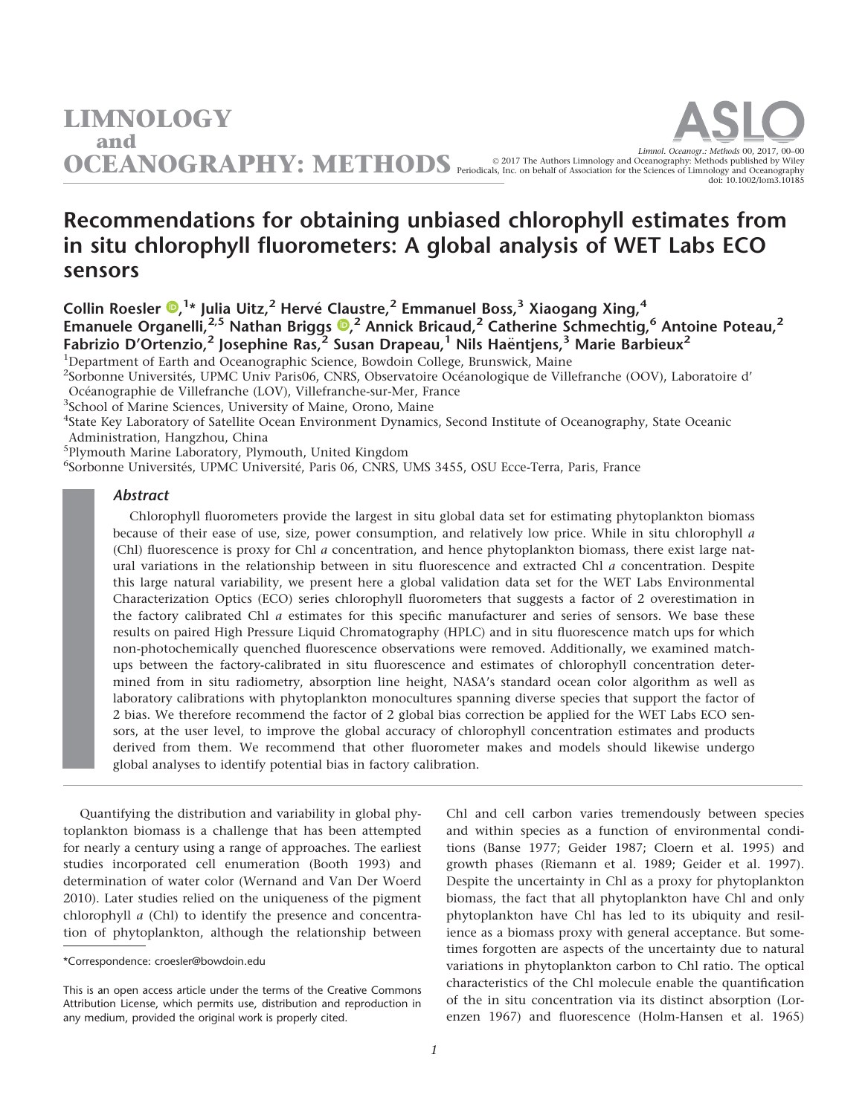1

Administration, Hangzhou, China 5 Plymouth Marine Laboratory, Plymouth, United Kingdom Abstract

# LIMNOLOGY and

Umnol. Oceanogr.: METHODS Periodicals, Inc. on behalf of Association for the Sciences of Limmology and Oceanography: Methods 00, 2017, 00-00 doi: 10.1002/lom3.10185

## Recommendations for obtaining unbiased chlorophyll estimates from in situ chlorophyll fluorometers: A global analysis of WET Labs ECO sensors

Collin Roesler  $\mathbf{D}$ [,](http://orcid.org/0000-0003-3839-2241) <sup>1</sup>\* Julia Uitz, <sup>2</sup> Hervé Claustre, 2 Emmanuel Boss, <sup>3</sup> Xiaogang Xing, <sup>4</sup> Emanuele Organelli[,](http://orcid.org/0000-0003-1549-1386)<sup>2,5</sup> Nathan Briggs ®,<sup>2</sup> Annick Bricaud,<sup>2</sup> Catherine Schmechtig,<sup>6</sup> Antoine Poteau,<sup>2</sup> Fabrizio D'Ortenzio,<sup>2</sup> Josephine Ras,<sup>2</sup> Susan Drapeau,<sup>1</sup> Nils Haëntjens,<sup>3</sup> Marie Barbieux<sup>2</sup> <sup>1</sup>Department of Earth and Oceanographic Science, Bowdoin College, Brunswick, Maine

<sup>2</sup>Sorbonne Universités, UPMC Univ Paris06, CNRS, Observatoire Océanologique de Villefranche (OOV), Laboratoire d' Océanographie de Villefranche (LOV), Villefranche-sur-Mer, France<br><sup>3</sup>School of Marine Sciences, University of Maine, Orono, Maine

<sup>3</sup>School of Marine Sciences, University of Maine, Orono, Maine

4 State Key Laboratory of Satellite Ocean Environment Dynamics, Second Institute of Oceanography, State Oceanic

<sup>6</sup>Sorbonne Universités, UPMC Université, Paris 06, CNRS, UMS 3455, OSU Ecce-Terra, Paris, France

Chlorophyll fluorometers provide the largest in situ global data set for estimating phytoplankton biomass because of their ease of use, size, power consumption, and relatively low price. While in situ chlorophyll a (Chl) fluorescence is proxy for Chl a concentration, and hence phytoplankton biomass, there exist large natural variations in the relationship between in situ fluorescence and extracted Chl a concentration. Despite this large natural variability, we present here a global validation data set for the WET Labs Environmental Characterization Optics (ECO) series chlorophyll fluorometers that suggests a factor of 2 overestimation in the factory calibrated Chl  $a$  estimates for this specific manufacturer and series of sensors. We base these results on paired High Pressure Liquid Chromatography (HPLC) and in situ fluorescence match ups for which non-photochemically quenched fluorescence observations were removed. Additionally, we examined matchups between the factory-calibrated in situ fluorescence and estimates of chlorophyll concentration determined from in situ radiometry, absorption line height, NASA's standard ocean color algorithm as well as laboratory calibrations with phytoplankton monocultures spanning diverse species that support the factor of 2 bias. We therefore recommend the factor of 2 global bias correction be applied for the WET Labs ECO sensors, at the user level, to improve the global accuracy of chlorophyll concentration estimates and products derived from them. We recommend that other fluorometer makes and models should likewise undergo global analyses to identify potential bias in factory calibration.

Quantifying the distribution and variability in global phytoplankton biomass is a challenge that has been attempted for nearly a century using a range of approaches. The earliest studies incorporated cell enumeration (Booth 1993) and determination of water color (Wernand and Van Der Woerd 2010). Later studies relied on the uniqueness of the pigment chlorophyll a (Chl) to identify the presence and concentration of phytoplankton, although the relationship between

\*Correspondence: croesler@bowdoin.edu

Chl and cell carbon varies tremendously between species and within species as a function of environmental conditions (Banse 1977; Geider 1987; Cloern et al. 1995) and growth phases (Riemann et al. 1989; Geider et al. 1997). Despite the uncertainty in Chl as a proxy for phytoplankton biomass, the fact that all phytoplankton have Chl and only phytoplankton have Chl has led to its ubiquity and resilience as a biomass proxy with general acceptance. But sometimes forgotten are aspects of the uncertainty due to natural variations in phytoplankton carbon to Chl ratio. The optical characteristics of the Chl molecule enable the quantification of the in situ concentration via its distinct absorption (Lorenzen 1967) and fluorescence (Holm-Hansen et al. 1965)

This is an open access article under the terms of the [Creative Commons](http://creativecommons.org/licenses/by/4.0/) [Attribution](http://creativecommons.org/licenses/by/4.0/) License, which permits use, distribution and reproduction in any medium, provided the original work is properly cited.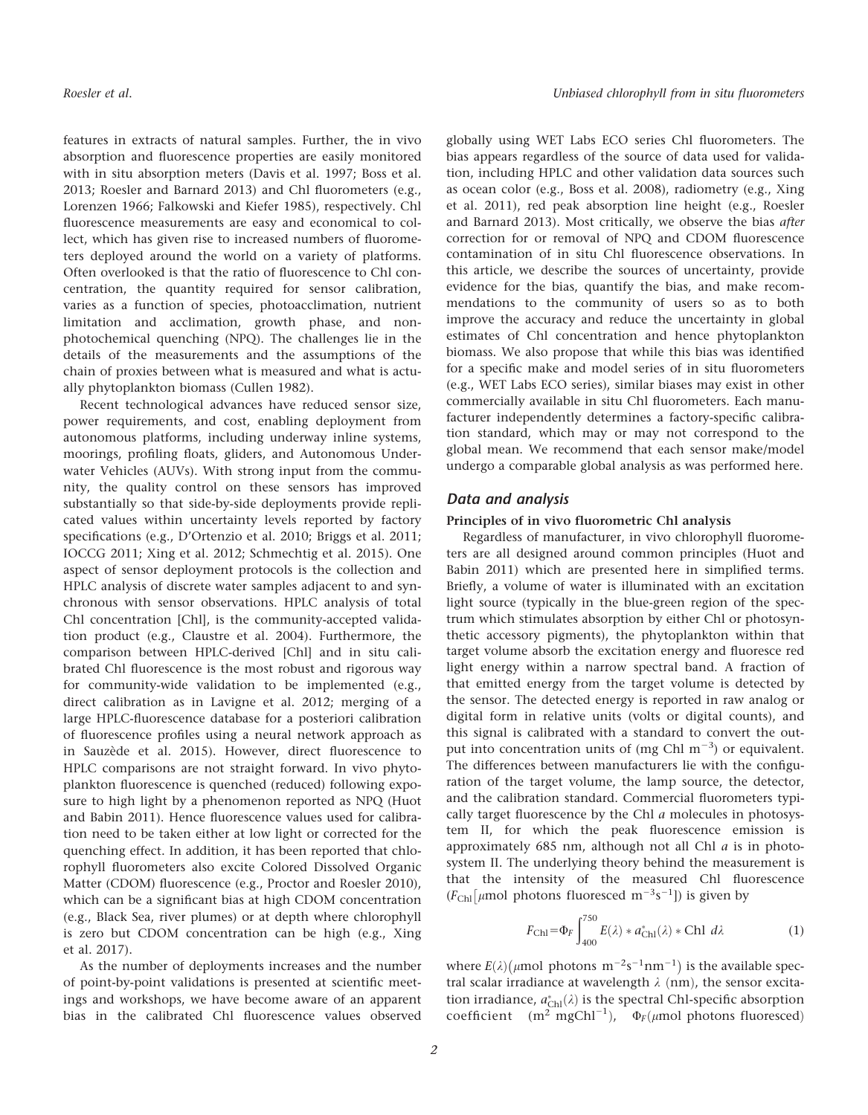features in extracts of natural samples. Further, the in vivo absorption and fluorescence properties are easily monitored with in situ absorption meters (Davis et al. 1997; Boss et al. 2013; Roesler and Barnard 2013) and Chl fluorometers (e.g., Lorenzen 1966; Falkowski and Kiefer 1985), respectively. Chl fluorescence measurements are easy and economical to collect, which has given rise to increased numbers of fluorometers deployed around the world on a variety of platforms. Often overlooked is that the ratio of fluorescence to Chl concentration, the quantity required for sensor calibration, varies as a function of species, photoacclimation, nutrient limitation and acclimation, growth phase, and nonphotochemical quenching (NPQ). The challenges lie in the details of the measurements and the assumptions of the chain of proxies between what is measured and what is actually phytoplankton biomass (Cullen 1982).

Recent technological advances have reduced sensor size, power requirements, and cost, enabling deployment from autonomous platforms, including underway inline systems, moorings, profiling floats, gliders, and Autonomous Underwater Vehicles (AUVs). With strong input from the community, the quality control on these sensors has improved substantially so that side-by-side deployments provide replicated values within uncertainty levels reported by factory specifications (e.g., D'Ortenzio et al. 2010; Briggs et al. 2011; IOCCG 2011; Xing et al. 2012; Schmechtig et al. 2015). One aspect of sensor deployment protocols is the collection and HPLC analysis of discrete water samples adjacent to and synchronous with sensor observations. HPLC analysis of total Chl concentration [Chl], is the community-accepted validation product (e.g., Claustre et al. 2004). Furthermore, the comparison between HPLC-derived [Chl] and in situ calibrated Chl fluorescence is the most robust and rigorous way for community-wide validation to be implemented (e.g., direct calibration as in Lavigne et al. 2012; merging of a large HPLC-fluorescence database for a posteriori calibration of fluorescence profiles using a neural network approach as in Sauzède et al. 2015). However, direct fluorescence to HPLC comparisons are not straight forward. In vivo phytoplankton fluorescence is quenched (reduced) following exposure to high light by a phenomenon reported as NPQ (Huot and Babin 2011). Hence fluorescence values used for calibration need to be taken either at low light or corrected for the quenching effect. In addition, it has been reported that chlorophyll fluorometers also excite Colored Dissolved Organic Matter (CDOM) fluorescence (e.g., Proctor and Roesler 2010), which can be a significant bias at high CDOM concentration (e.g., Black Sea, river plumes) or at depth where chlorophyll is zero but CDOM concentration can be high (e.g., Xing et al. 2017).

As the number of deployments increases and the number of point-by-point validations is presented at scientific meetings and workshops, we have become aware of an apparent bias in the calibrated Chl fluorescence values observed globally using WET Labs ECO series Chl fluorometers. The bias appears regardless of the source of data used for validation, including HPLC and other validation data sources such as ocean color (e.g., Boss et al. 2008), radiometry (e.g., Xing et al. 2011), red peak absorption line height (e.g., Roesler and Barnard 2013). Most critically, we observe the bias after correction for or removal of NPQ and CDOM fluorescence contamination of in situ Chl fluorescence observations. In this article, we describe the sources of uncertainty, provide evidence for the bias, quantify the bias, and make recommendations to the community of users so as to both improve the accuracy and reduce the uncertainty in global estimates of Chl concentration and hence phytoplankton biomass. We also propose that while this bias was identified for a specific make and model series of in situ fluorometers (e.g., WET Labs ECO series), similar biases may exist in other commercially available in situ Chl fluorometers. Each manufacturer independently determines a factory-specific calibration standard, which may or may not correspond to the global mean. We recommend that each sensor make/model undergo a comparable global analysis as was performed here.

## Data and analysis

### Principles of in vivo fluorometric Chl analysis

Regardless of manufacturer, in vivo chlorophyll fluorometers are all designed around common principles (Huot and Babin 2011) which are presented here in simplified terms. Briefly, a volume of water is illuminated with an excitation light source (typically in the blue-green region of the spectrum which stimulates absorption by either Chl or photosynthetic accessory pigments), the phytoplankton within that target volume absorb the excitation energy and fluoresce red light energy within a narrow spectral band. A fraction of that emitted energy from the target volume is detected by the sensor. The detected energy is reported in raw analog or digital form in relative units (volts or digital counts), and this signal is calibrated with a standard to convert the output into concentration units of (mg Chl  $m^{-3}$ ) or equivalent. The differences between manufacturers lie with the configuration of the target volume, the lamp source, the detector, and the calibration standard. Commercial fluorometers typically target fluorescence by the Chl  $a$  molecules in photosystem II, for which the peak fluorescence emission is approximately  $685$  nm, although not all Chl  $a$  is in photosystem II. The underlying theory behind the measurement is that the intensity of the measured Chl fluorescence  $(F_{\text{Ch}}[\mu \text{mol photons fluorescence}] = \frac{1}{2}$  is given by

$$
F_{\rm Chl} = \Phi_F \int_{400}^{750} E(\lambda) * a_{\rm Chl}^*(\lambda) * \text{Chl} \ d\lambda \tag{1}
$$

where  $E(\lambda)$ ( $\mu$ mol photons m<sup>-2</sup>s<sup>-1</sup>nm<sup>-1</sup>) is the available spectral scalar irradiance at wavelength  $\lambda$  (nm), the sensor excitation irradiance,  $a_{\rm Chl}^*(\lambda)$  is the spectral Chl-specific absorption coefficient (m<sup>2</sup> mgChl<sup>-1</sup>),  $\Phi_F(\mu \text{mol photons fluorescence})$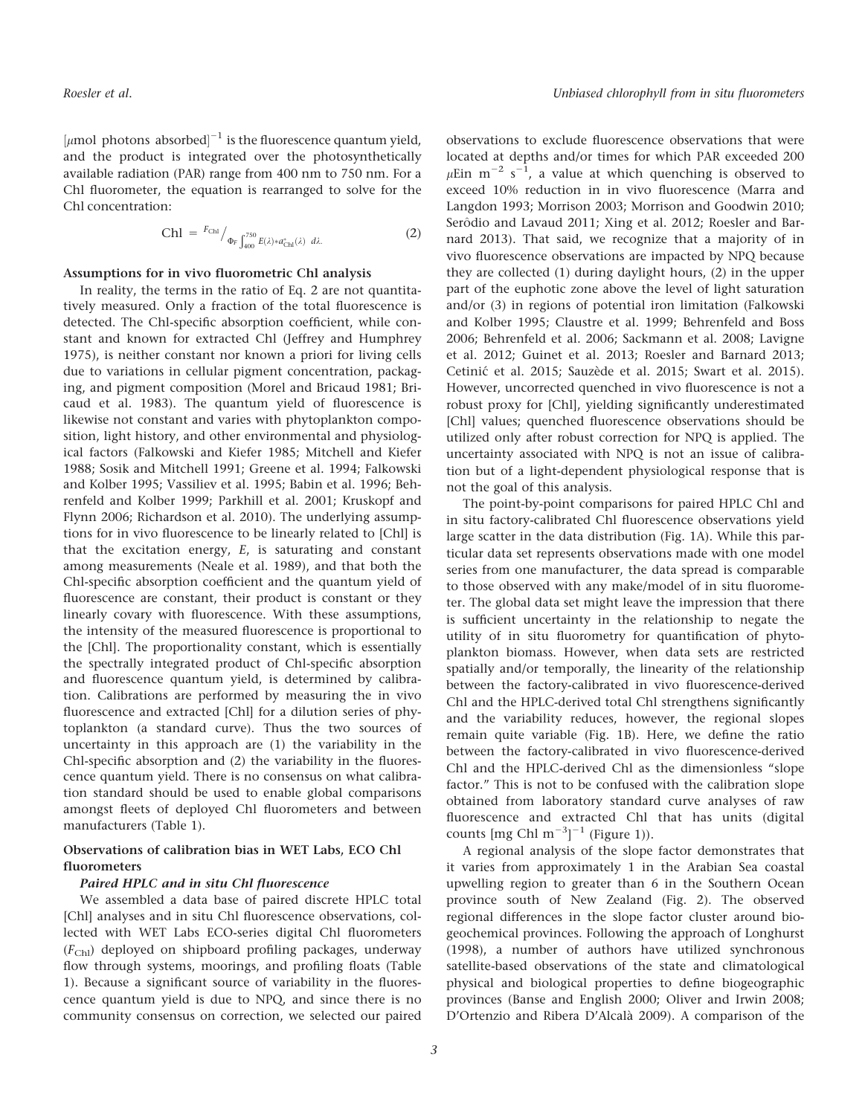$\lbrack \mu \text{mol photons absorbed} \rbrack^{-1}$  is the fluorescence quantum yield, and the product is integrated over the photosynthetically available radiation (PAR) range from 400 nm to 750 nm. For a Chl fluorometer, the equation is rearranged to solve for the Chl concentration:

$$
\text{Ch1} = {}^{F_{\text{Ch1}}} /_{\Phi_F} \int_{400}^{750} E(\lambda) * a_{\text{Ch1}}^*(\lambda) \, d\lambda. \tag{2}
$$

#### Assumptions for in vivo fluorometric Chl analysis

In reality, the terms in the ratio of Eq. 2 are not quantitatively measured. Only a fraction of the total fluorescence is detected. The Chl-specific absorption coefficient, while constant and known for extracted Chl (Jeffrey and Humphrey 1975), is neither constant nor known a priori for living cells due to variations in cellular pigment concentration, packaging, and pigment composition (Morel and Bricaud 1981; Bricaud et al. 1983). The quantum yield of fluorescence is likewise not constant and varies with phytoplankton composition, light history, and other environmental and physiological factors (Falkowski and Kiefer 1985; Mitchell and Kiefer 1988; Sosik and Mitchell 1991; Greene et al. 1994; Falkowski and Kolber 1995; Vassiliev et al. 1995; Babin et al. 1996; Behrenfeld and Kolber 1999; Parkhill et al. 2001; Kruskopf and Flynn 2006; Richardson et al. 2010). The underlying assumptions for in vivo fluorescence to be linearly related to [Chl] is that the excitation energy,  $E$ , is saturating and constant among measurements (Neale et al. 1989), and that both the Chl-specific absorption coefficient and the quantum yield of fluorescence are constant, their product is constant or they linearly covary with fluorescence. With these assumptions, the intensity of the measured fluorescence is proportional to the [Chl]. The proportionality constant, which is essentially the spectrally integrated product of Chl-specific absorption and fluorescence quantum yield, is determined by calibration. Calibrations are performed by measuring the in vivo fluorescence and extracted [Chl] for a dilution series of phytoplankton (a standard curve). Thus the two sources of uncertainty in this approach are (1) the variability in the Chl-specific absorption and (2) the variability in the fluorescence quantum yield. There is no consensus on what calibration standard should be used to enable global comparisons amongst fleets of deployed Chl fluorometers and between manufacturers (Table 1).

## Observations of calibration bias in WET Labs, ECO Chl fluorometers

#### Paired HPLC and in situ Chl fluorescence

We assembled a data base of paired discrete HPLC total [Chl] analyses and in situ Chl fluorescence observations, collected with WET Labs ECO-series digital Chl fluorometers  $(F<sub>Chl</sub>)$  deployed on shipboard profiling packages, underway flow through systems, moorings, and profiling floats (Table 1). Because a significant source of variability in the fluorescence quantum yield is due to NPQ, and since there is no community consensus on correction, we selected our paired observations to exclude fluorescence observations that were located at depths and/or times for which PAR exceeded 200  $\mu$ Ein m<sup>-2</sup> s<sup>-1</sup>, a value at which quenching is observed to exceed 10% reduction in in vivo fluorescence (Marra and Langdon 1993; Morrison 2003; Morrison and Goodwin 2010; Serôdio and Lavaud 2011; Xing et al. 2012; Roesler and Barnard 2013). That said, we recognize that a majority of in vivo fluorescence observations are impacted by NPQ because they are collected (1) during daylight hours, (2) in the upper part of the euphotic zone above the level of light saturation and/or (3) in regions of potential iron limitation (Falkowski and Kolber 1995; Claustre et al. 1999; Behrenfeld and Boss 2006; Behrenfeld et al. 2006; Sackmann et al. 2008; Lavigne et al. 2012; Guinet et al. 2013; Roesler and Barnard 2013; Cetinić et al. 2015; Sauzède et al. 2015; Swart et al. 2015). However, uncorrected quenched in vivo fluorescence is not a robust proxy for [Chl], yielding significantly underestimated [Chl] values; quenched fluorescence observations should be utilized only after robust correction for NPQ is applied. The uncertainty associated with NPQ is not an issue of calibration but of a light-dependent physiological response that is not the goal of this analysis.

The point-by-point comparisons for paired HPLC Chl and in situ factory-calibrated Chl fluorescence observations yield large scatter in the data distribution (Fig. 1A). While this particular data set represents observations made with one model series from one manufacturer, the data spread is comparable to those observed with any make/model of in situ fluorometer. The global data set might leave the impression that there is sufficient uncertainty in the relationship to negate the utility of in situ fluorometry for quantification of phytoplankton biomass. However, when data sets are restricted spatially and/or temporally, the linearity of the relationship between the factory-calibrated in vivo fluorescence-derived Chl and the HPLC-derived total Chl strengthens significantly and the variability reduces, however, the regional slopes remain quite variable (Fig. 1B). Here, we define the ratio between the factory-calibrated in vivo fluorescence-derived Chl and the HPLC-derived Chl as the dimensionless "slope factor." This is not to be confused with the calibration slope obtained from laboratory standard curve analyses of raw fluorescence and extracted Chl that has units (digital counts  $[mg Chl m^{-3}]^{-1}$  (Figure 1)).

A regional analysis of the slope factor demonstrates that it varies from approximately 1 in the Arabian Sea coastal upwelling region to greater than 6 in the Southern Ocean province south of New Zealand (Fig. 2). The observed regional differences in the slope factor cluster around biogeochemical provinces. Following the approach of Longhurst (1998), a number of authors have utilized synchronous satellite-based observations of the state and climatological physical and biological properties to define biogeographic provinces (Banse and English 2000; Oliver and Irwin 2008; D'Ortenzio and Ribera D'Alcala 2009). A comparison of the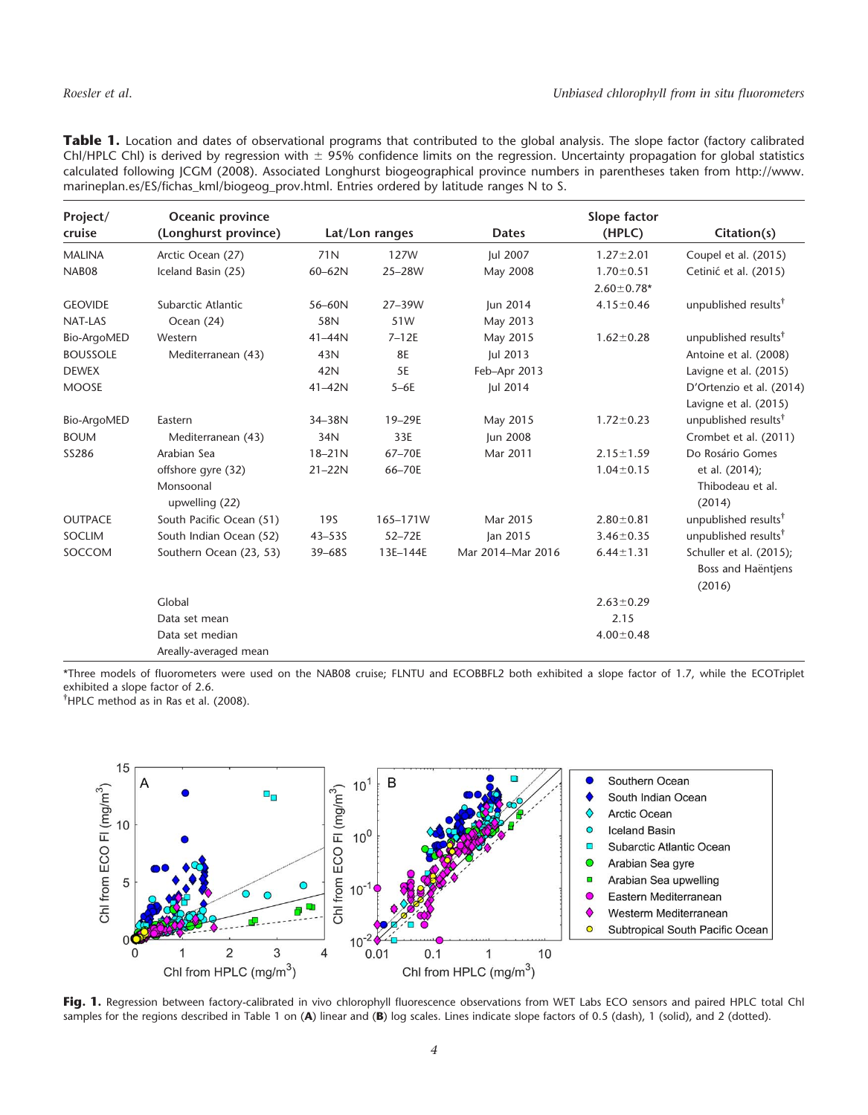| Table 1. Location and dates of observational programs that contributed to the global analysis. The slope factor (factory calibrated      |
|------------------------------------------------------------------------------------------------------------------------------------------|
| Chl/HPLC Chl) is derived by regression with $\pm$ 95% confidence limits on the regression. Uncertainty propagation for global statistics |
| calculated following JCGM (2008). Associated Longhurst biogeographical province numbers in parentheses taken from http://www.            |
| marineplan.es/ES/fichas_kml/biogeog_prov.html. Entries ordered by latitude ranges N to S.                                                |

| Project/<br>cruise | Oceanic province<br>(Longhurst province) |            | Lat/Lon ranges | <b>Dates</b>      | Slope factor<br>(HPLC) | Citation(s)                                             |
|--------------------|------------------------------------------|------------|----------------|-------------------|------------------------|---------------------------------------------------------|
| <b>MALINA</b>      | Arctic Ocean (27)                        | 71N        | <b>127W</b>    | Jul 2007          | $1.27 \pm 2.01$        | Coupel et al. (2015)                                    |
| NAB08              | Iceland Basin (25)                       | $60 - 62N$ | 25-28W         | May 2008          | $1.70 \pm 0.51$        | Cetinić et al. (2015)                                   |
|                    |                                          |            |                |                   | $2.60 \pm 0.78*$       |                                                         |
| <b>GEOVIDE</b>     | Subarctic Atlantic                       | 56-60N     | 27-39W         | Jun 2014          | $4.15 \pm 0.46$        | unpublished results <sup>†</sup>                        |
| NAT-LAS            | Ocean (24)                               | 58N        | 51W            | May 2013          |                        |                                                         |
| Bio-ArgoMED        | Western                                  | $41 - 44N$ | $7 - 12E$      | May 2015          | $1.62 \pm 0.28$        | unpublished results <sup>†</sup>                        |
| <b>BOUSSOLE</b>    | Mediterranean (43)                       | 43N        | <b>8E</b>      | <b>Jul 2013</b>   |                        | Antoine et al. (2008)                                   |
| <b>DEWEX</b>       |                                          | 42N        | 5E             | Feb-Apr 2013      |                        | Lavigne et al. (2015)                                   |
| <b>MOOSE</b>       |                                          | 41-42N     | $5-6E$         | Jul 2014          |                        | D'Ortenzio et al. (2014)                                |
|                    |                                          |            |                |                   |                        | Lavigne et al. (2015)                                   |
| Bio-ArgoMED        | Eastern                                  | 34-38N     | 19-29E         | May 2015          | $1.72 \pm 0.23$        | unpublished results <sup>†</sup>                        |
| <b>BOUM</b>        | Mediterranean (43)                       | 34N        | 33E            | Jun 2008          |                        | Crombet et al. (2011)                                   |
| SS286              | Arabian Sea                              | $18 - 21N$ | 67-70E         | Mar 2011          | $2.15 \pm 1.59$        | Do Rosário Gomes                                        |
|                    | offshore gyre (32)                       | $21 - 22N$ | 66-70E         |                   | $1.04 \pm 0.15$        | et al. (2014);                                          |
|                    | Monsoonal<br>upwelling (22)              |            |                |                   |                        | Thibodeau et al.<br>(2014)                              |
| <b>OUTPACE</b>     | South Pacific Ocean (51)                 | <b>19S</b> | 165-171W       | Mar 2015          | $2.80 \pm 0.81$        | unpublished results <sup>†</sup>                        |
| SOCLIM             | South Indian Ocean (52)                  | $43 - 535$ | 52-72E         | Jan 2015          | $3.46 \pm 0.35$        | unpublished results <sup>†</sup>                        |
| SOCCOM             | Southern Ocean (23, 53)                  | $39 - 685$ | 13E-144E       | Mar 2014-Mar 2016 | $6.44 \pm 1.31$        | Schuller et al. (2015);<br>Boss and Haëntjens<br>(2016) |
|                    | Global                                   |            |                |                   | $2.63 \pm 0.29$        |                                                         |
|                    | Data set mean                            |            |                |                   | 2.15                   |                                                         |
|                    | Data set median                          |            |                |                   | $4.00 \pm 0.48$        |                                                         |
|                    | Areally-averaged mean                    |            |                |                   |                        |                                                         |

\*Three models of fluorometers were used on the NAB08 cruise; FLNTU and ECOBBFL2 both exhibited a slope factor of 1.7, while the ECOTriplet exhibited a slope factor of 2.6.

† HPLC method as in Ras et al. (2008).



Fig. 1. Regression between factory-calibrated in vivo chlorophyll fluorescence observations from WET Labs ECO sensors and paired HPLC total Chl samples for the regions described in Table 1 on (A) linear and (B) log scales. Lines indicate slope factors of 0.5 (dash), 1 (solid), and 2 (dotted).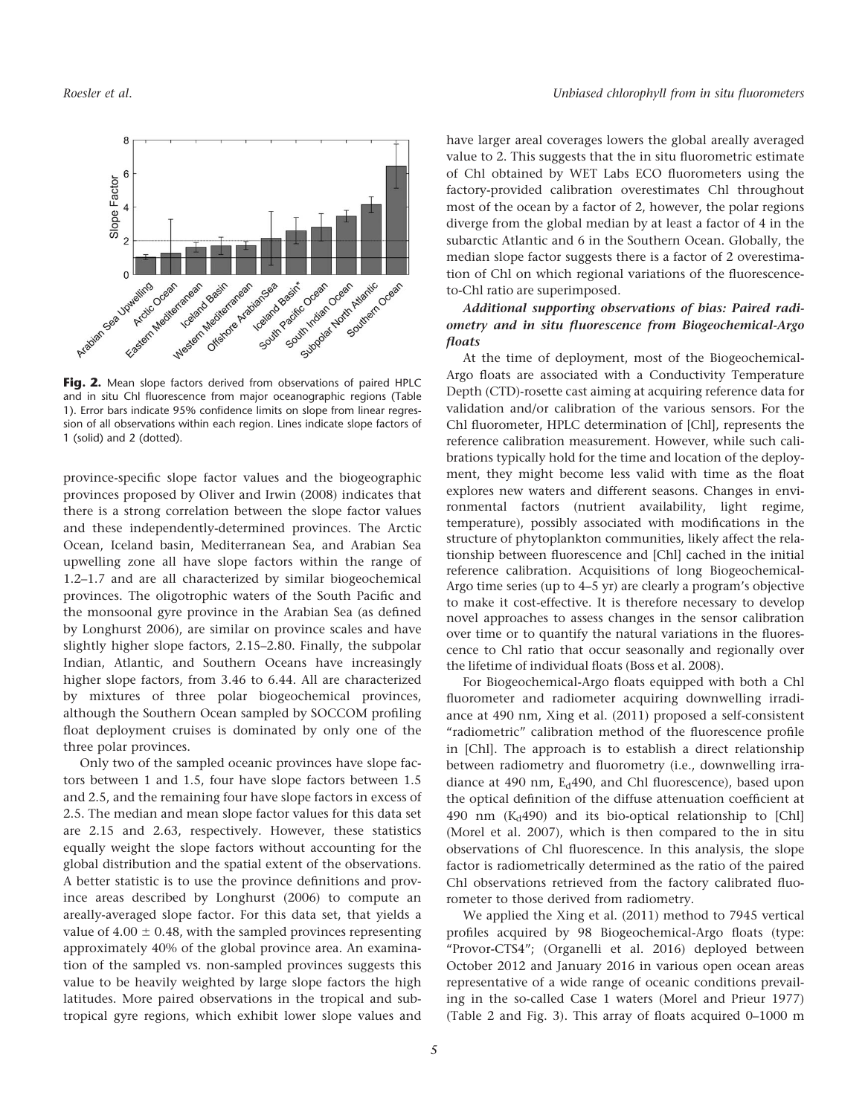

Fig. 2. Mean slope factors derived from observations of paired HPLC and in situ Chl fluorescence from major oceanographic regions (Table 1). Error bars indicate 95% confidence limits on slope from linear regression of all observations within each region. Lines indicate slope factors of 1 (solid) and 2 (dotted).

province-specific slope factor values and the biogeographic provinces proposed by Oliver and Irwin (2008) indicates that there is a strong correlation between the slope factor values and these independently-determined provinces. The Arctic Ocean, Iceland basin, Mediterranean Sea, and Arabian Sea upwelling zone all have slope factors within the range of 1.2–1.7 and are all characterized by similar biogeochemical provinces. The oligotrophic waters of the South Pacific and the monsoonal gyre province in the Arabian Sea (as defined by Longhurst 2006), are similar on province scales and have slightly higher slope factors, 2.15–2.80. Finally, the subpolar Indian, Atlantic, and Southern Oceans have increasingly higher slope factors, from 3.46 to 6.44. All are characterized by mixtures of three polar biogeochemical provinces, although the Southern Ocean sampled by SOCCOM profiling float deployment cruises is dominated by only one of the three polar provinces.

Only two of the sampled oceanic provinces have slope factors between 1 and 1.5, four have slope factors between 1.5 and 2.5, and the remaining four have slope factors in excess of 2.5. The median and mean slope factor values for this data set are 2.15 and 2.63, respectively. However, these statistics equally weight the slope factors without accounting for the global distribution and the spatial extent of the observations. A better statistic is to use the province definitions and province areas described by Longhurst (2006) to compute an areally-averaged slope factor. For this data set, that yields a value of  $4.00 \pm 0.48$ , with the sampled provinces representing approximately 40% of the global province area. An examination of the sampled vs. non-sampled provinces suggests this value to be heavily weighted by large slope factors the high latitudes. More paired observations in the tropical and subtropical gyre regions, which exhibit lower slope values and

have larger areal coverages lowers the global areally averaged value to 2. This suggests that the in situ fluorometric estimate of Chl obtained by WET Labs ECO fluorometers using the factory-provided calibration overestimates Chl throughout most of the ocean by a factor of 2, however, the polar regions diverge from the global median by at least a factor of 4 in the subarctic Atlantic and 6 in the Southern Ocean. Globally, the median slope factor suggests there is a factor of 2 overestimation of Chl on which regional variations of the fluorescenceto-Chl ratio are superimposed.

## Additional supporting observations of bias: Paired radiometry and in situ fluorescence from Biogeochemical-Argo floats

At the time of deployment, most of the Biogeochemical-Argo floats are associated with a Conductivity Temperature Depth (CTD)-rosette cast aiming at acquiring reference data for validation and/or calibration of the various sensors. For the Chl fluorometer, HPLC determination of [Chl], represents the reference calibration measurement. However, while such calibrations typically hold for the time and location of the deployment, they might become less valid with time as the float explores new waters and different seasons. Changes in environmental factors (nutrient availability, light regime, temperature), possibly associated with modifications in the structure of phytoplankton communities, likely affect the relationship between fluorescence and [Chl] cached in the initial reference calibration. Acquisitions of long Biogeochemical-Argo time series (up to 4–5 yr) are clearly a program's objective to make it cost-effective. It is therefore necessary to develop novel approaches to assess changes in the sensor calibration over time or to quantify the natural variations in the fluorescence to Chl ratio that occur seasonally and regionally over the lifetime of individual floats (Boss et al. 2008).

For Biogeochemical-Argo floats equipped with both a Chl fluorometer and radiometer acquiring downwelling irradiance at 490 nm, Xing et al. (2011) proposed a self-consistent "radiometric" calibration method of the fluorescence profile in [Chl]. The approach is to establish a direct relationship between radiometry and fluorometry (i.e., downwelling irradiance at 490 nm, E<sub>d</sub>490, and Chl fluorescence), based upon the optical definition of the diffuse attenuation coefficient at 490 nm  $(K_d490)$  and its bio-optical relationship to [Chl] (Morel et al. 2007), which is then compared to the in situ observations of Chl fluorescence. In this analysis, the slope factor is radiometrically determined as the ratio of the paired Chl observations retrieved from the factory calibrated fluorometer to those derived from radiometry.

We applied the Xing et al. (2011) method to 7945 vertical profiles acquired by 98 Biogeochemical-Argo floats (type: "Provor-CTS4"; (Organelli et al. 2016) deployed between October 2012 and January 2016 in various open ocean areas representative of a wide range of oceanic conditions prevailing in the so-called Case 1 waters (Morel and Prieur 1977) (Table 2 and Fig. 3). This array of floats acquired 0–1000 m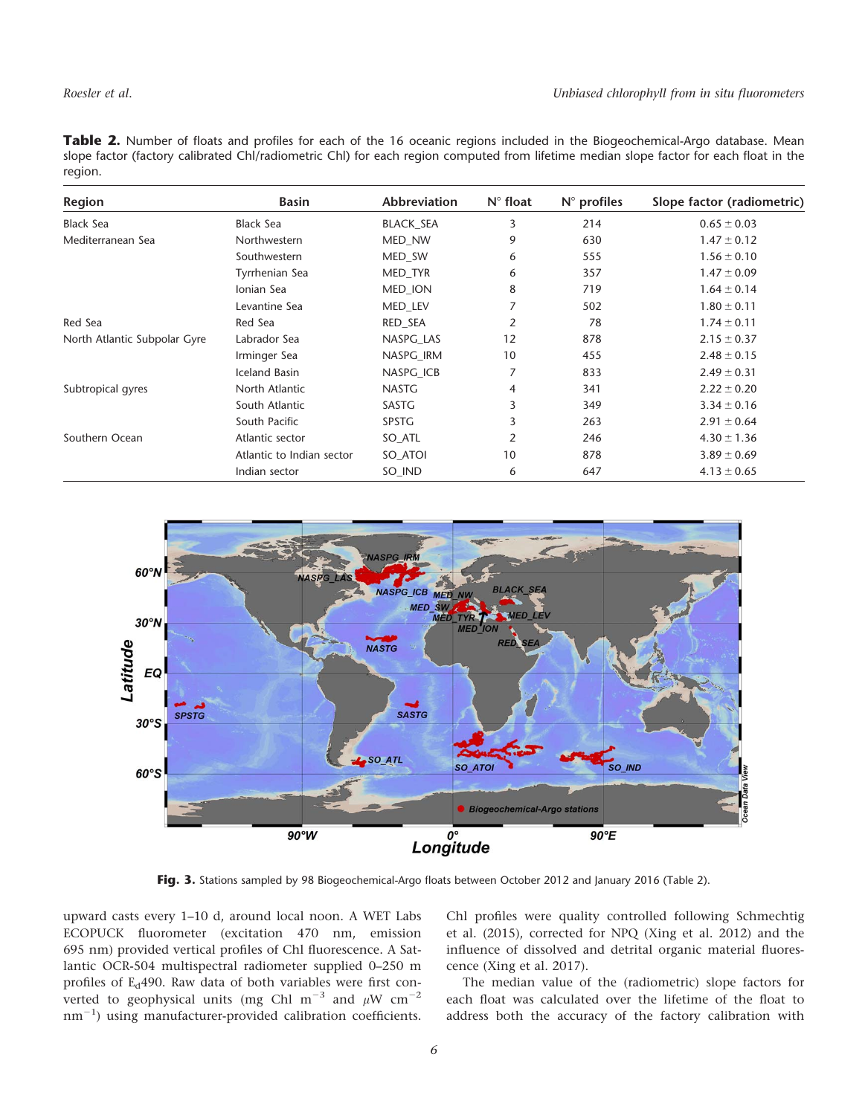Table 2. Number of floats and profiles for each of the 16 oceanic regions included in the Biogeochemical-Argo database. Mean slope factor (factory calibrated Chl/radiometric Chl) for each region computed from lifetime median slope factor for each float in the region.

| Region                       | <b>Basin</b>              | <b>Abbreviation</b> | $N^{\circ}$ float | $N^{\circ}$ profiles | Slope factor (radiometric) |
|------------------------------|---------------------------|---------------------|-------------------|----------------------|----------------------------|
| <b>Black Sea</b>             | <b>Black Sea</b>          | <b>BLACK SEA</b>    | 3                 | 214                  | $0.65 \pm 0.03$            |
| Mediterranean Sea            | Northwestern              | MED_NW              | 9                 | 630                  | $1.47 \pm 0.12$            |
|                              | Southwestern              | MED SW              | 6                 | 555                  | $1.56 \pm 0.10$            |
|                              | Tyrrhenian Sea            | MED TYR             | 6                 | 357                  | $1.47 \pm 0.09$            |
|                              | Ionian Sea                | <b>MED ION</b>      | 8                 | 719                  | $1.64 \pm 0.14$            |
|                              | Levantine Sea             | MED_LEV             |                   | 502                  | $1.80 \pm 0.11$            |
| Red Sea                      | Red Sea                   | RED SEA             | $\overline{2}$    | 78                   | $1.74 \pm 0.11$            |
| North Atlantic Subpolar Gyre | Labrador Sea              | NASPG LAS           | 12                | 878                  | $2.15 \pm 0.37$            |
|                              | Irminger Sea              | NASPG_IRM           | 10                | 455                  | $2.48 \pm 0.15$            |
|                              | <b>Iceland Basin</b>      | NASPG ICB           | 7                 | 833                  | $2.49 \pm 0.31$            |
| Subtropical gyres            | North Atlantic            | <b>NASTG</b>        | $\overline{4}$    | 341                  | $2.22 \pm 0.20$            |
|                              | South Atlantic            | SASTG               | 3                 | 349                  | $3.34 \pm 0.16$            |
|                              | South Pacific             | <b>SPSTG</b>        | 3                 | 263                  | $2.91 \pm 0.64$            |
| Southern Ocean               | Atlantic sector           | SO_ATL              | 2                 | 246                  | $4.30 \pm 1.36$            |
|                              | Atlantic to Indian sector | SO_ATOI             | 10                | 878                  | $3.89 \pm 0.69$            |
|                              | Indian sector             | SO IND              | 6                 | 647                  | $4.13 \pm 0.65$            |



Fig. 3. Stations sampled by 98 Biogeochemical-Argo floats between October 2012 and January 2016 (Table 2).

upward casts every 1–10 d, around local noon. A WET Labs ECOPUCK fluorometer (excitation 470 nm, emission 695 nm) provided vertical profiles of Chl fluorescence. A Satlantic OCR-504 multispectral radiometer supplied 0–250 m profiles of  $E_d$ 490. Raw data of both variables were first converted to geophysical units (mg Chl m<sup>-3</sup> and  $\mu$ W cm<sup>-2</sup>  $\text{nm}^{-1}$ ) using manufacturer-provided calibration coefficients.

Chl profiles were quality controlled following Schmechtig et al. (2015), corrected for NPQ (Xing et al. 2012) and the influence of dissolved and detrital organic material fluorescence (Xing et al. 2017).

The median value of the (radiometric) slope factors for each float was calculated over the lifetime of the float to address both the accuracy of the factory calibration with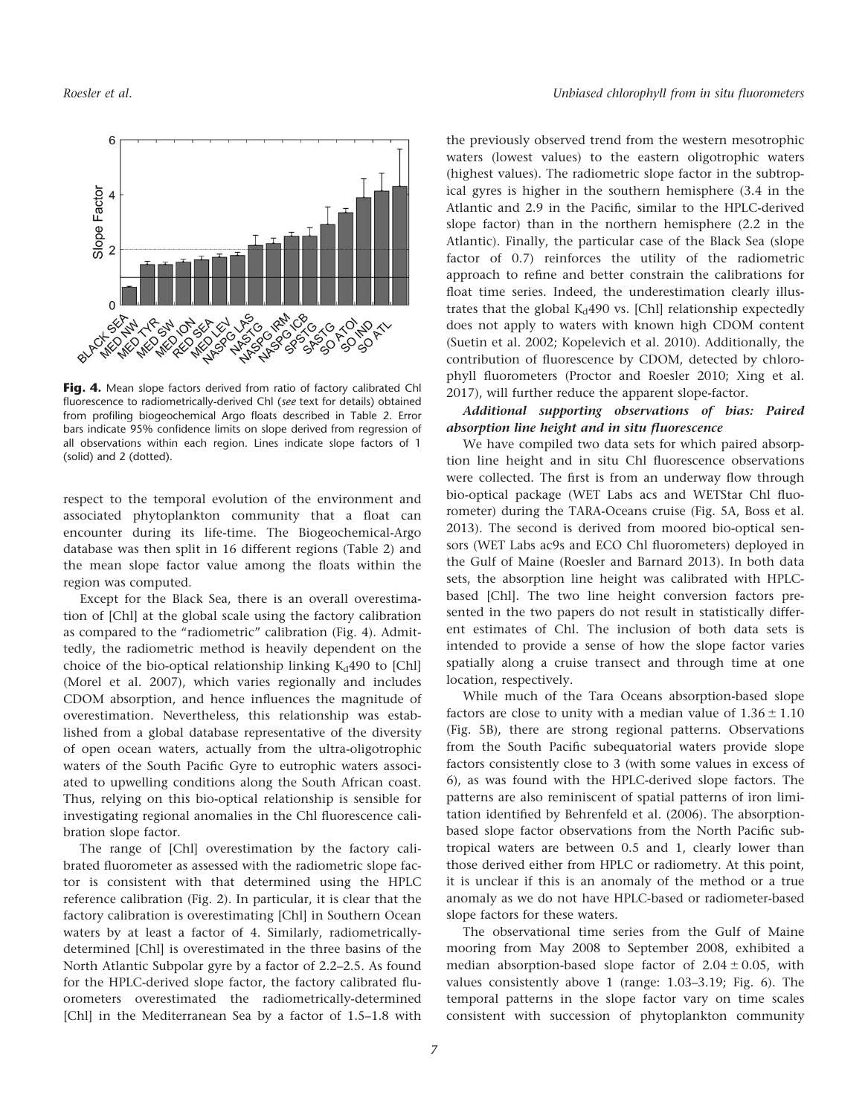

Fig. 4. Mean slope factors derived from ratio of factory calibrated Chl fluorescence to radiometrically-derived Chl (see text for details) obtained from profiling biogeochemical Argo floats described in Table 2. Error bars indicate 95% confidence limits on slope derived from regression of all observations within each region. Lines indicate slope factors of 1 (solid) and 2 (dotted).

respect to the temporal evolution of the environment and associated phytoplankton community that a float can encounter during its life-time. The Biogeochemical-Argo database was then split in 16 different regions (Table 2) and the mean slope factor value among the floats within the region was computed.

Except for the Black Sea, there is an overall overestimation of [Chl] at the global scale using the factory calibration as compared to the "radiometric" calibration (Fig. 4). Admittedly, the radiometric method is heavily dependent on the choice of the bio-optical relationship linking  $K_d$ 490 to [Chl] (Morel et al. 2007), which varies regionally and includes CDOM absorption, and hence influences the magnitude of overestimation. Nevertheless, this relationship was established from a global database representative of the diversity of open ocean waters, actually from the ultra-oligotrophic waters of the South Pacific Gyre to eutrophic waters associated to upwelling conditions along the South African coast. Thus, relying on this bio-optical relationship is sensible for investigating regional anomalies in the Chl fluorescence calibration slope factor.

The range of [Chl] overestimation by the factory calibrated fluorometer as assessed with the radiometric slope factor is consistent with that determined using the HPLC reference calibration (Fig. 2). In particular, it is clear that the factory calibration is overestimating [Chl] in Southern Ocean waters by at least a factor of 4. Similarly, radiometricallydetermined [Chl] is overestimated in the three basins of the North Atlantic Subpolar gyre by a factor of 2.2–2.5. As found for the HPLC-derived slope factor, the factory calibrated fluorometers overestimated the radiometrically-determined [Chl] in the Mediterranean Sea by a factor of 1.5–1.8 with

the previously observed trend from the western mesotrophic waters (lowest values) to the eastern oligotrophic waters (highest values). The radiometric slope factor in the subtropical gyres is higher in the southern hemisphere (3.4 in the Atlantic and 2.9 in the Pacific, similar to the HPLC-derived slope factor) than in the northern hemisphere (2.2 in the Atlantic). Finally, the particular case of the Black Sea (slope factor of 0.7) reinforces the utility of the radiometric approach to refine and better constrain the calibrations for float time series. Indeed, the underestimation clearly illustrates that the global  $K_d490$  vs. [Chl] relationship expectedly does not apply to waters with known high CDOM content (Suetin et al. 2002; Kopelevich et al. 2010). Additionally, the contribution of fluorescence by CDOM, detected by chlorophyll fluorometers (Proctor and Roesler 2010; Xing et al. 2017), will further reduce the apparent slope-factor.

Additional supporting observations of bias: Paired absorption line height and in situ fluorescence

We have compiled two data sets for which paired absorption line height and in situ Chl fluorescence observations were collected. The first is from an underway flow through bio-optical package (WET Labs acs and WETStar Chl fluorometer) during the TARA-Oceans cruise (Fig. 5A, Boss et al. 2013). The second is derived from moored bio-optical sensors (WET Labs ac9s and ECO Chl fluorometers) deployed in the Gulf of Maine (Roesler and Barnard 2013). In both data sets, the absorption line height was calibrated with HPLCbased [Chl]. The two line height conversion factors presented in the two papers do not result in statistically different estimates of Chl. The inclusion of both data sets is intended to provide a sense of how the slope factor varies spatially along a cruise transect and through time at one location, respectively.

While much of the Tara Oceans absorption-based slope factors are close to unity with a median value of  $1.36 \pm 1.10$ (Fig. 5B), there are strong regional patterns. Observations from the South Pacific subequatorial waters provide slope factors consistently close to 3 (with some values in excess of 6), as was found with the HPLC-derived slope factors. The patterns are also reminiscent of spatial patterns of iron limitation identified by Behrenfeld et al. (2006). The absorptionbased slope factor observations from the North Pacific subtropical waters are between 0.5 and 1, clearly lower than those derived either from HPLC or radiometry. At this point, it is unclear if this is an anomaly of the method or a true anomaly as we do not have HPLC-based or radiometer-based slope factors for these waters.

The observational time series from the Gulf of Maine mooring from May 2008 to September 2008, exhibited a median absorption-based slope factor of  $2.04 \pm 0.05$ , with values consistently above 1 (range: 1.03–3.19; Fig. 6). The temporal patterns in the slope factor vary on time scales consistent with succession of phytoplankton community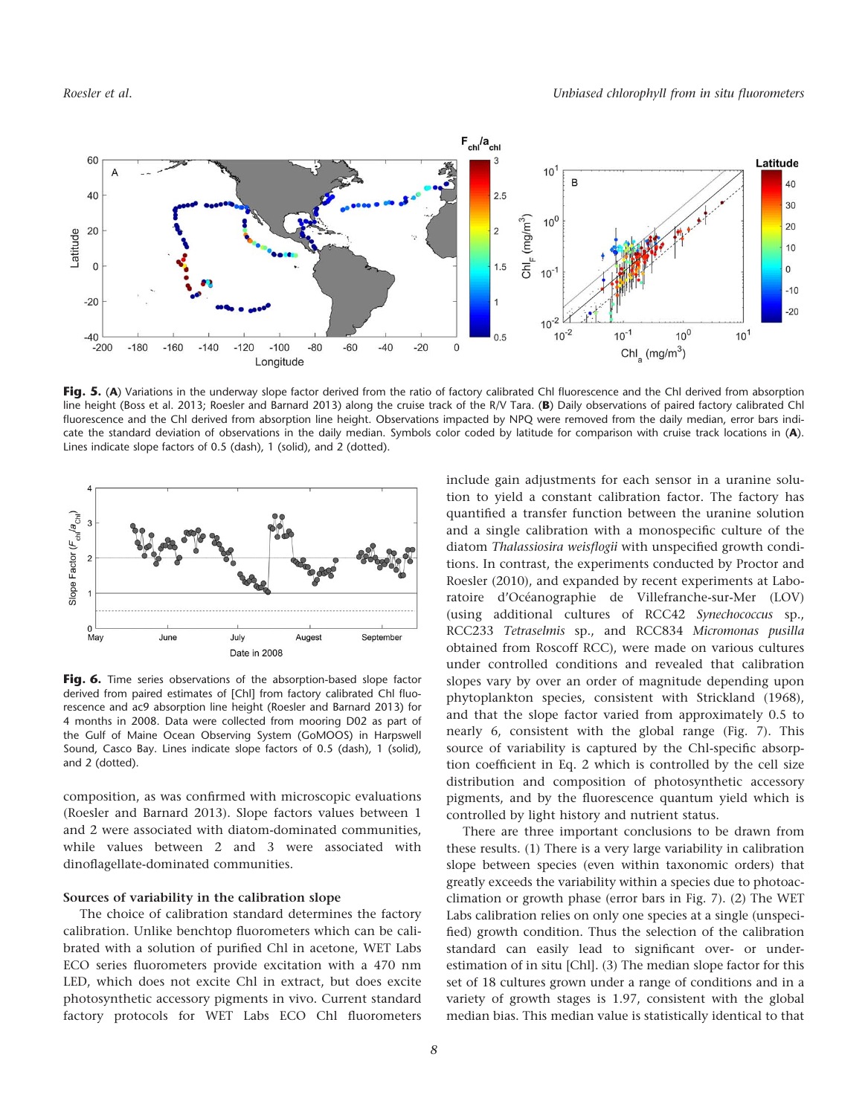

Fig. 5. (A) Variations in the underway slope factor derived from the ratio of factory calibrated Chl fluorescence and the Chl derived from absorption line height (Boss et al. 2013; Roesler and Barnard 2013) along the cruise track of the R/V Tara. (B) Daily observations of paired factory calibrated Chl fluorescence and the Chl derived from absorption line height. Observations impacted by NPQ were removed from the daily median, error bars indicate the standard deviation of observations in the daily median. Symbols color coded by latitude for comparison with cruise track locations in (A). Lines indicate slope factors of 0.5 (dash), 1 (solid), and 2 (dotted).



Fig. 6. Time series observations of the absorption-based slope factor derived from paired estimates of [Chl] from factory calibrated Chl fluorescence and ac9 absorption line height (Roesler and Barnard 2013) for 4 months in 2008. Data were collected from mooring D02 as part of the Gulf of Maine Ocean Observing System (GoMOOS) in Harpswell Sound, Casco Bay. Lines indicate slope factors of 0.5 (dash), 1 (solid), and 2 (dotted).

composition, as was confirmed with microscopic evaluations (Roesler and Barnard 2013). Slope factors values between 1 and 2 were associated with diatom-dominated communities, while values between 2 and 3 were associated with dinoflagellate-dominated communities.

#### Sources of variability in the calibration slope

The choice of calibration standard determines the factory calibration. Unlike benchtop fluorometers which can be calibrated with a solution of purified Chl in acetone, WET Labs ECO series fluorometers provide excitation with a 470 nm LED, which does not excite Chl in extract, but does excite photosynthetic accessory pigments in vivo. Current standard factory protocols for WET Labs ECO Chl fluorometers include gain adjustments for each sensor in a uranine solution to yield a constant calibration factor. The factory has quantified a transfer function between the uranine solution and a single calibration with a monospecific culture of the diatom Thalassiosira weisflogii with unspecified growth conditions. In contrast, the experiments conducted by Proctor and Roesler (2010), and expanded by recent experiments at Laboratoire d'Océanographie de Villefranche-sur-Mer (LOV) (using additional cultures of RCC42 Synechococcus sp., RCC233 Tetraselmis sp., and RCC834 Micromonas pusilla obtained from Roscoff RCC), were made on various cultures under controlled conditions and revealed that calibration slopes vary by over an order of magnitude depending upon phytoplankton species, consistent with Strickland (1968), and that the slope factor varied from approximately 0.5 to nearly 6, consistent with the global range (Fig. 7). This source of variability is captured by the Chl-specific absorption coefficient in Eq. 2 which is controlled by the cell size distribution and composition of photosynthetic accessory pigments, and by the fluorescence quantum yield which is controlled by light history and nutrient status.

There are three important conclusions to be drawn from these results. (1) There is a very large variability in calibration slope between species (even within taxonomic orders) that greatly exceeds the variability within a species due to photoacclimation or growth phase (error bars in Fig. 7). (2) The WET Labs calibration relies on only one species at a single (unspecified) growth condition. Thus the selection of the calibration standard can easily lead to significant over- or underestimation of in situ [Chl]. (3) The median slope factor for this set of 18 cultures grown under a range of conditions and in a variety of growth stages is 1.97, consistent with the global median bias. This median value is statistically identical to that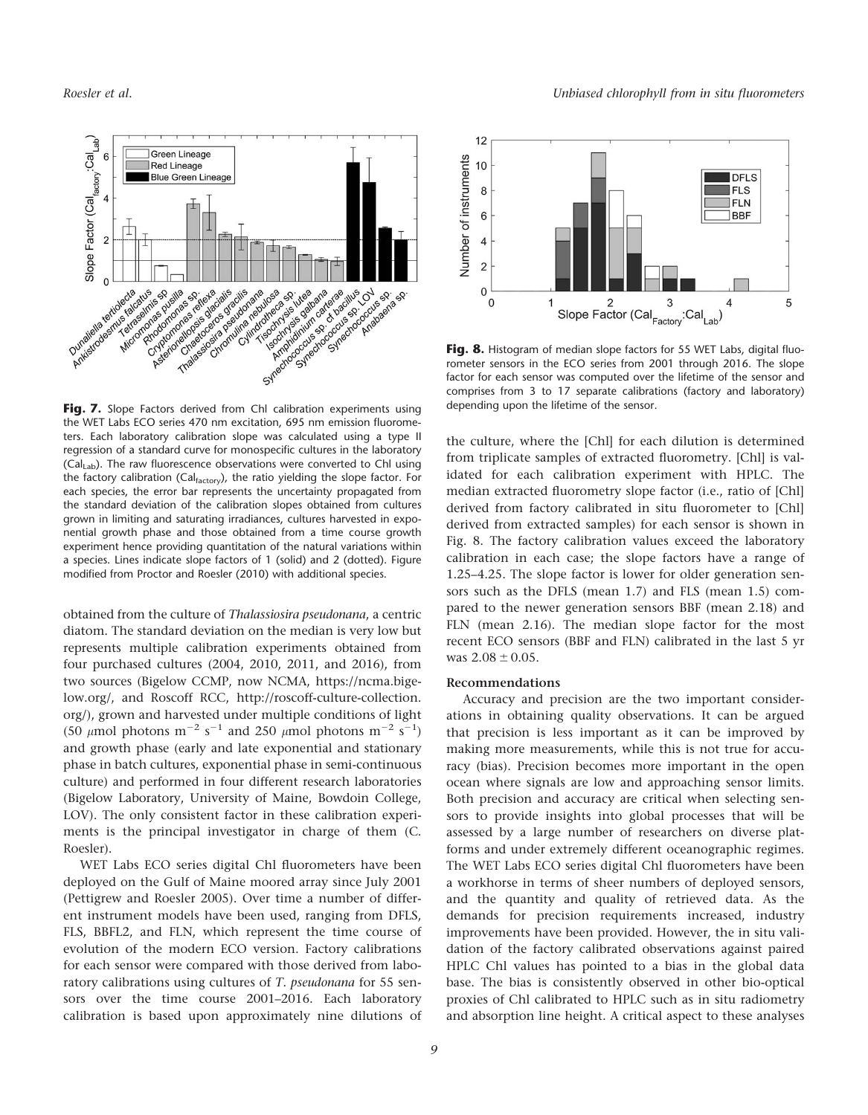

the WET Labs ECO series 470 nm excitation, 695 nm emission fluorometers. Each laboratory calibration slope was calculated using a type II regression of a standard curve for monospecific cultures in the laboratory  $(Cal<sub>Lab</sub>)$ . The raw fluorescence observations were converted to Chl using the factory calibration (Calfactory), the ratio yielding the slope factor. For each species, the error bar represents the uncertainty propagated from the standard deviation of the calibration slopes obtained from cultures grown in limiting and saturating irradiances, cultures harvested in exponential growth phase and those obtained from a time course growth experiment hence providing quantitation of the natural variations within a species. Lines indicate slope factors of 1 (solid) and 2 (dotted). Figure modified from Proctor and Roesler (2010) with additional species.

obtained from the culture of Thalassiosira pseudonana, a centric diatom. The standard deviation on the median is very low but represents multiple calibration experiments obtained from four purchased cultures (2004, 2010, 2011, and 2016), from two sources (Bigelow CCMP, now NCMA, [https://ncma.bige](https://ncma.bigelow.org/)[low.org/,](https://ncma.bigelow.org/) and Roscoff RCC, [http://roscoff-culture-collection.](http://roscoff-culture-collection.org) [org/](http://roscoff-culture-collection.org)), grown and harvested under multiple conditions of light (50  $\mu$ mol photons m<sup>-2</sup> s<sup>-1</sup> and 250  $\mu$ mol photons m<sup>-2</sup> s<sup>-1</sup>) and growth phase (early and late exponential and stationary phase in batch cultures, exponential phase in semi-continuous culture) and performed in four different research laboratories (Bigelow Laboratory, University of Maine, Bowdoin College, LOV). The only consistent factor in these calibration experiments is the principal investigator in charge of them (C. Roesler).

WET Labs ECO series digital Chl fluorometers have been deployed on the Gulf of Maine moored array since July 2001 (Pettigrew and Roesler 2005). Over time a number of different instrument models have been used, ranging from DFLS, FLS, BBFL2, and FLN, which represent the time course of evolution of the modern ECO version. Factory calibrations for each sensor were compared with those derived from laboratory calibrations using cultures of T. pseudonana for 55 sensors over the time course 2001–2016. Each laboratory calibration is based upon approximately nine dilutions of



Fig. 8. Histogram of median slope factors for 55 WET Labs, digital fluorometer sensors in the ECO series from 2001 through 2016. The slope factor for each sensor was computed over the lifetime of the sensor and comprises from 3 to 17 separate calibrations (factory and laboratory) depending upon the lifetime of the sensor.

the culture, where the [Chl] for each dilution is determined from triplicate samples of extracted fluorometry. [Chl] is validated for each calibration experiment with HPLC. The median extracted fluorometry slope factor (i.e., ratio of [Chl] derived from factory calibrated in situ fluorometer to [Chl] derived from extracted samples) for each sensor is shown in Fig. 8. The factory calibration values exceed the laboratory calibration in each case; the slope factors have a range of 1.25–4.25. The slope factor is lower for older generation sensors such as the DFLS (mean 1.7) and FLS (mean 1.5) compared to the newer generation sensors BBF (mean 2.18) and FLN (mean 2.16). The median slope factor for the most recent ECO sensors (BBF and FLN) calibrated in the last 5 yr was  $2.08 \pm 0.05$ .

#### Recommendations

Accuracy and precision are the two important considerations in obtaining quality observations. It can be argued that precision is less important as it can be improved by making more measurements, while this is not true for accuracy (bias). Precision becomes more important in the open ocean where signals are low and approaching sensor limits. Both precision and accuracy are critical when selecting sensors to provide insights into global processes that will be assessed by a large number of researchers on diverse platforms and under extremely different oceanographic regimes. The WET Labs ECO series digital Chl fluorometers have been a workhorse in terms of sheer numbers of deployed sensors, and the quantity and quality of retrieved data. As the demands for precision requirements increased, industry improvements have been provided. However, the in situ validation of the factory calibrated observations against paired HPLC Chl values has pointed to a bias in the global data base. The bias is consistently observed in other bio-optical proxies of Chl calibrated to HPLC such as in situ radiometry and absorption line height. A critical aspect to these analyses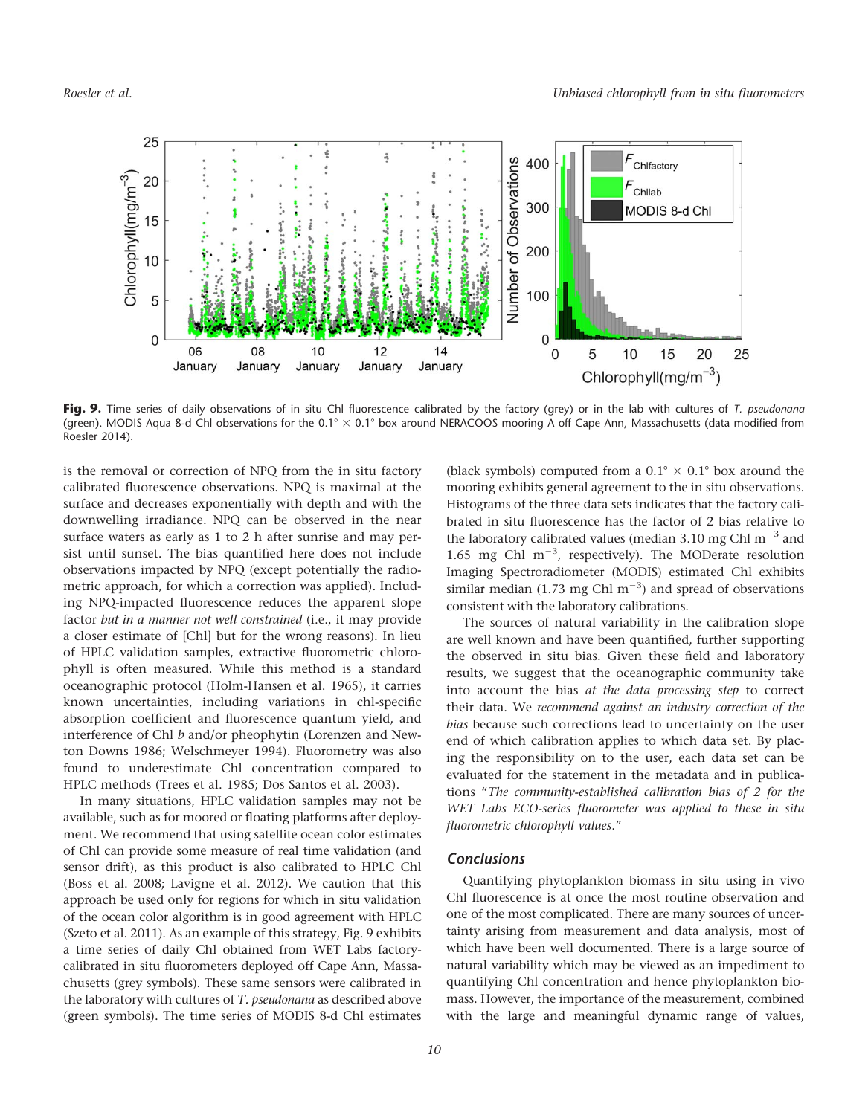

Fig. 9. Time series of daily observations of in situ Chl fluorescence calibrated by the factory (grey) or in the lab with cultures of T. pseudonana (green). MODIS Aqua 8-d Chl observations for the  $0.1^{\circ} \times 0.1^{\circ}$  box around NERACOOS mooring A off Cape Ann, Massachusetts (data modified from Roesler 2014).

is the removal or correction of NPQ from the in situ factory calibrated fluorescence observations. NPQ is maximal at the surface and decreases exponentially with depth and with the downwelling irradiance. NPQ can be observed in the near surface waters as early as 1 to 2 h after sunrise and may persist until sunset. The bias quantified here does not include observations impacted by NPQ (except potentially the radiometric approach, for which a correction was applied). Including NPQ-impacted fluorescence reduces the apparent slope factor but in a manner not well constrained (i.e., it may provide a closer estimate of [Chl] but for the wrong reasons). In lieu of HPLC validation samples, extractive fluorometric chlorophyll is often measured. While this method is a standard oceanographic protocol (Holm-Hansen et al. 1965), it carries known uncertainties, including variations in chl-specific absorption coefficient and fluorescence quantum yield, and interference of Chl b and/or pheophytin (Lorenzen and Newton Downs 1986; Welschmeyer 1994). Fluorometry was also found to underestimate Chl concentration compared to HPLC methods (Trees et al. 1985; Dos Santos et al. 2003).

In many situations, HPLC validation samples may not be available, such as for moored or floating platforms after deployment. We recommend that using satellite ocean color estimates of Chl can provide some measure of real time validation (and sensor drift), as this product is also calibrated to HPLC Chl (Boss et al. 2008; Lavigne et al. 2012). We caution that this approach be used only for regions for which in situ validation of the ocean color algorithm is in good agreement with HPLC (Szeto et al. 2011). As an example of this strategy, Fig. 9 exhibits a time series of daily Chl obtained from WET Labs factorycalibrated in situ fluorometers deployed off Cape Ann, Massachusetts (grey symbols). These same sensors were calibrated in the laboratory with cultures of T. pseudonana as described above (green symbols). The time series of MODIS 8-d Chl estimates (black symbols) computed from a  $0.1^{\circ} \times 0.1^{\circ}$  box around the mooring exhibits general agreement to the in situ observations. Histograms of the three data sets indicates that the factory calibrated in situ fluorescence has the factor of 2 bias relative to the laboratory calibrated values (median 3.10 mg Chl  $m^{-3}$  and 1.65 mg Chl  $m^{-3}$ , respectively). The MODerate resolution Imaging Spectroradiometer (MODIS) estimated Chl exhibits similar median (1.73 mg Chl  $m^{-3}$ ) and spread of observations consistent with the laboratory calibrations.

The sources of natural variability in the calibration slope are well known and have been quantified, further supporting the observed in situ bias. Given these field and laboratory results, we suggest that the oceanographic community take into account the bias at the data processing step to correct their data. We recommend against an industry correction of the bias because such corrections lead to uncertainty on the user end of which calibration applies to which data set. By placing the responsibility on to the user, each data set can be evaluated for the statement in the metadata and in publications "The community-established calibration bias of 2 for the WET Labs ECO-series fluorometer was applied to these in situ fluorometric chlorophyll values."

## Conclusions

Quantifying phytoplankton biomass in situ using in vivo Chl fluorescence is at once the most routine observation and one of the most complicated. There are many sources of uncertainty arising from measurement and data analysis, most of which have been well documented. There is a large source of natural variability which may be viewed as an impediment to quantifying Chl concentration and hence phytoplankton biomass. However, the importance of the measurement, combined with the large and meaningful dynamic range of values,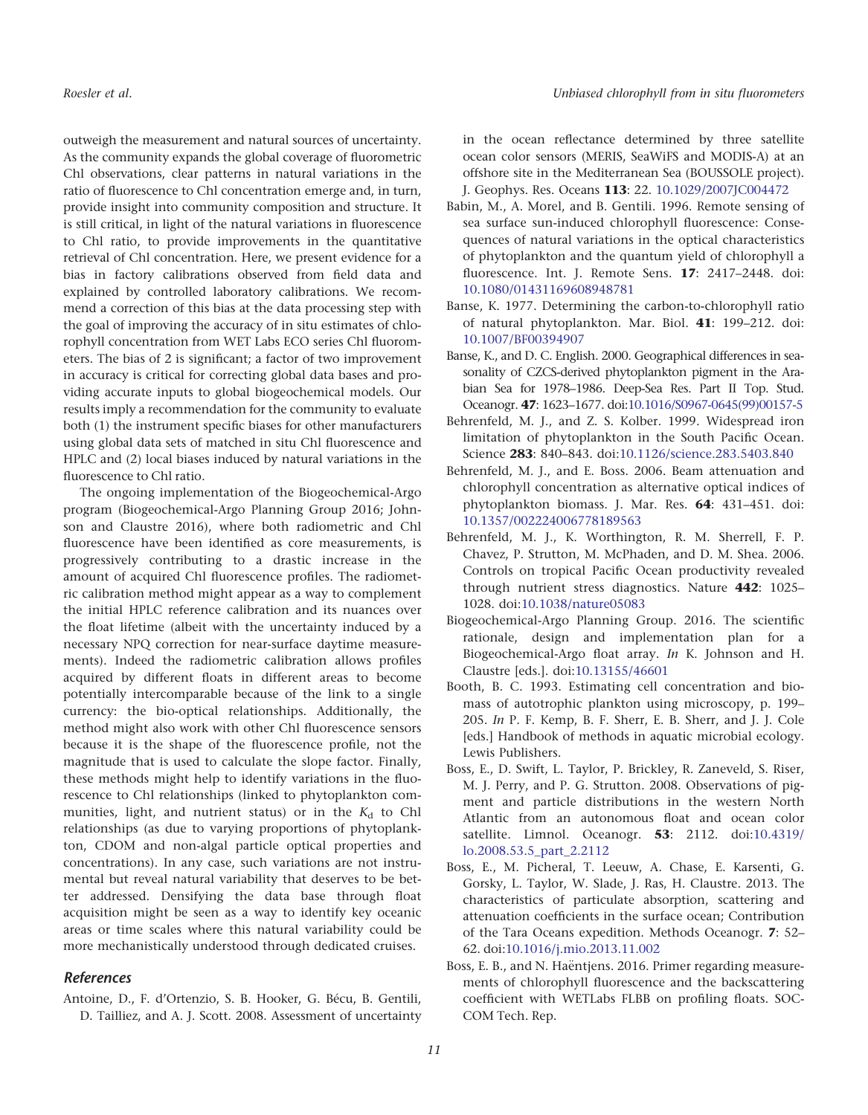outweigh the measurement and natural sources of uncertainty. As the community expands the global coverage of fluorometric Chl observations, clear patterns in natural variations in the ratio of fluorescence to Chl concentration emerge and, in turn, provide insight into community composition and structure. It is still critical, in light of the natural variations in fluorescence to Chl ratio, to provide improvements in the quantitative retrieval of Chl concentration. Here, we present evidence for a bias in factory calibrations observed from field data and explained by controlled laboratory calibrations. We recommend a correction of this bias at the data processing step with the goal of improving the accuracy of in situ estimates of chlorophyll concentration from WET Labs ECO series Chl fluorometers. The bias of 2 is significant; a factor of two improvement in accuracy is critical for correcting global data bases and providing accurate inputs to global biogeochemical models. Our results imply a recommendation for the community to evaluate both (1) the instrument specific biases for other manufacturers using global data sets of matched in situ Chl fluorescence and HPLC and (2) local biases induced by natural variations in the fluorescence to Chl ratio.

The ongoing implementation of the Biogeochemical-Argo program (Biogeochemical-Argo Planning Group 2016; Johnson and Claustre 2016), where both radiometric and Chl fluorescence have been identified as core measurements, is progressively contributing to a drastic increase in the amount of acquired Chl fluorescence profiles. The radiometric calibration method might appear as a way to complement the initial HPLC reference calibration and its nuances over the float lifetime (albeit with the uncertainty induced by a necessary NPQ correction for near-surface daytime measurements). Indeed the radiometric calibration allows profiles acquired by different floats in different areas to become potentially intercomparable because of the link to a single currency: the bio-optical relationships. Additionally, the method might also work with other Chl fluorescence sensors because it is the shape of the fluorescence profile, not the magnitude that is used to calculate the slope factor. Finally, these methods might help to identify variations in the fluorescence to Chl relationships (linked to phytoplankton communities, light, and nutrient status) or in the  $K_d$  to Chl relationships (as due to varying proportions of phytoplankton, CDOM and non-algal particle optical properties and concentrations). In any case, such variations are not instrumental but reveal natural variability that deserves to be better addressed. Densifying the data base through float acquisition might be seen as a way to identify key oceanic areas or time scales where this natural variability could be more mechanistically understood through dedicated cruises.

## References

Antoine, D., F. d'Ortenzio, S. B. Hooker, G. Bécu, B. Gentili, D. Tailliez, and A. J. Scott. 2008. Assessment of uncertainty

in the ocean reflectance determined by three satellite ocean color sensors (MERIS, SeaWiFS and MODIS-A) at an offshore site in the Mediterranean Sea (BOUSSOLE project). J. Geophys. Res. Oceans 113: 22. [10.1029/2007JC004472](http://dx.doi.org/10.1029/2007JC004472 )

- Babin, M., A. Morel, and B. Gentili. 1996. Remote sensing of sea surface sun-induced chlorophyll fluorescence: Consequences of natural variations in the optical characteristics of phytoplankton and the quantum yield of chlorophyll a fluorescence. Int. J. Remote Sens. 17: 2417-2448. doi: [10.1080/01431169608948781](http://dx.doi.org/10.1080/01431169608948781)
- Banse, K. 1977. Determining the carbon-to-chlorophyll ratio of natural phytoplankton. Mar. Biol. 41: 199–212. doi: [10.1007/BF00394907](http://dx.doi.org/10.1007/BF00394907)
- Banse, K., and D. C. English. 2000. Geographical differences in seasonality of CZCS-derived phytoplankton pigment in the Arabian Sea for 1978–1986. Deep-Sea Res. Part II Top. Stud. Oceanogr. 47: 1623–1677. doi[:10.1016/S0967-0645\(99\)00157-5](http://dx.doi.org/10.1016/S0967-0645(99)00157-5)
- Behrenfeld, M. J., and Z. S. Kolber. 1999. Widespread iron limitation of phytoplankton in the South Pacific Ocean. Science 283: 840–843. doi:[10.1126/science.283.5403.840](http://dx.doi.org/10.1126/science.283.5403.840)
- Behrenfeld, M. J., and E. Boss. 2006. Beam attenuation and chlorophyll concentration as alternative optical indices of phytoplankton biomass. J. Mar. Res. 64: 431–451. doi: [10.1357/002224006778189563](http://dx.doi.org/10.1357/002224006778189563)
- Behrenfeld, M. J., K. Worthington, R. M. Sherrell, F. P. Chavez, P. Strutton, M. McPhaden, and D. M. Shea. 2006. Controls on tropical Pacific Ocean productivity revealed through nutrient stress diagnostics. Nature 442: 1025-1028. doi[:10.1038/nature05083](http://dx.doi.org/10.1038/nature05083)
- Biogeochemical-Argo Planning Group. 2016. The scientific rationale, design and implementation plan for a Biogeochemical-Argo float array. In K. Johnson and H. Claustre [eds.]. doi:[10.13155/46601](http://dx.doi.org/10.13155/46601)
- Booth, B. C. 1993. Estimating cell concentration and biomass of autotrophic plankton using microscopy, p. 199– 205. In P. F. Kemp, B. F. Sherr, E. B. Sherr, and J. J. Cole [eds.] Handbook of methods in aquatic microbial ecology. Lewis Publishers.
- Boss, E., D. Swift, L. Taylor, P. Brickley, R. Zaneveld, S. Riser, M. J. Perry, and P. G. Strutton. 2008. Observations of pigment and particle distributions in the western North Atlantic from an autonomous float and ocean color satellite. Limnol. Oceanogr. 53: 2112. doi[:10.4319/](http://dx.doi.org/10.4319/lo.2008.53.5_part_2.2112) [lo.2008.53.5\\_part\\_2.2112](http://dx.doi.org/10.4319/lo.2008.53.5_part_2.2112)
- Boss, E., M. Picheral, T. Leeuw, A. Chase, E. Karsenti, G. Gorsky, L. Taylor, W. Slade, J. Ras, H. Claustre. 2013. The characteristics of particulate absorption, scattering and attenuation coefficients in the surface ocean; Contribution of the Tara Oceans expedition. Methods Oceanogr. 7: 52– 62. doi[:10.1016/j.mio.2013.11.002](http://dx.doi.org/10.1016/j.mio.2013.11.002)
- Boss, E. B., and N. Haëntjens. 2016. Primer regarding measurements of chlorophyll fluorescence and the backscattering coefficient with WETLabs FLBB on profiling floats. SOC-COM Tech. Rep.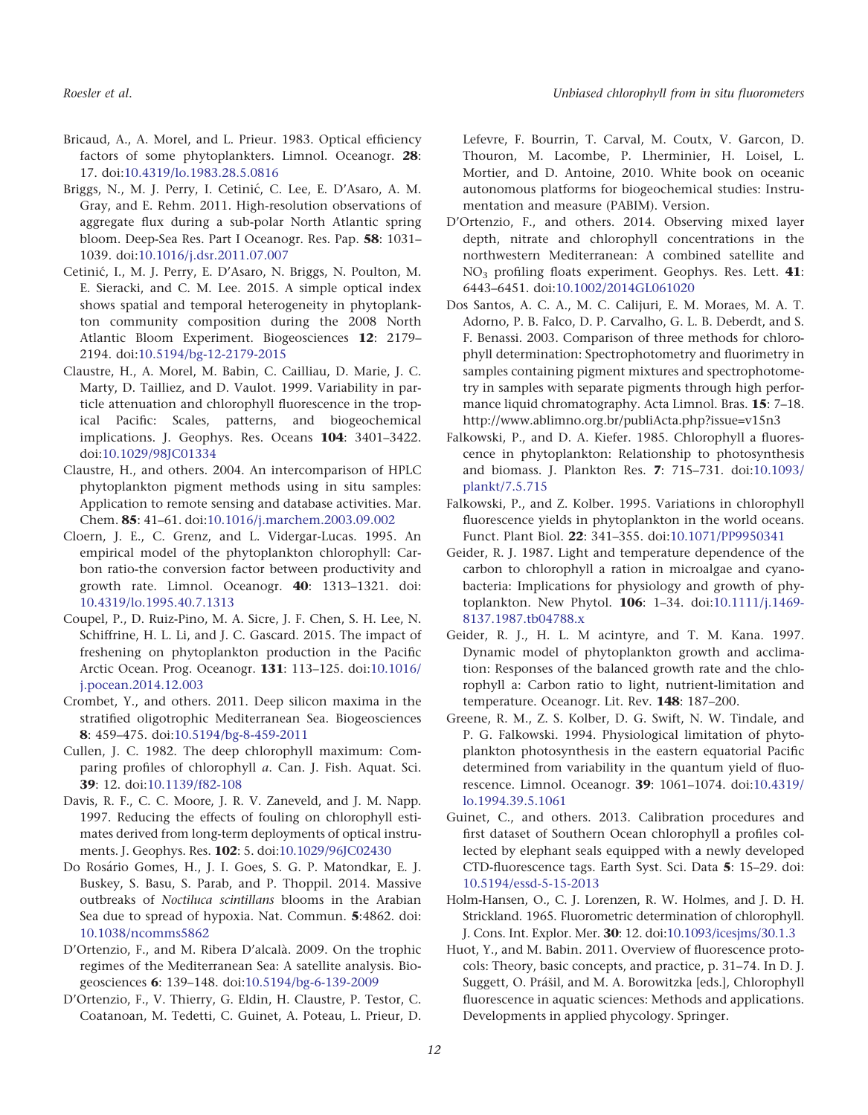- Bricaud, A., A. Morel, and L. Prieur. 1983. Optical efficiency factors of some phytoplankters. Limnol. Oceanogr. 28: 17. doi[:10.4319/lo.1983.28.5.0816](http://dx.doi.org/10.4319/lo.1983.28.5.0816)
- Briggs, N., M. J. Perry, I. Cetinić, C. Lee, E. D'Asaro, A. M. Gray, and E. Rehm. 2011. High-resolution observations of aggregate flux during a sub-polar North Atlantic spring bloom. Deep-Sea Res. Part I Oceanogr. Res. Pap. 58: 1031– 1039. doi[:10.1016/j.dsr.2011.07.007](http://dx.doi.org/10.1016/j.dsr.2011.07.007)
- Cetinic´, I., M. J. Perry, E. D'Asaro, N. Briggs, N. Poulton, M. E. Sieracki, and C. M. Lee. 2015. A simple optical index shows spatial and temporal heterogeneity in phytoplankton community composition during the 2008 North Atlantic Bloom Experiment. Biogeosciences 12: 2179– 2194. doi[:10.5194/bg-12-2179-2015](http://dx.doi.org/10.5194/bg-12-2179-2015)
- Claustre, H., A. Morel, M. Babin, C. Cailliau, D. Marie, J. C. Marty, D. Tailliez, and D. Vaulot. 1999. Variability in particle attenuation and chlorophyll fluorescence in the tropical Pacific: Scales, patterns, and biogeochemical implications. J. Geophys. Res. Oceans 104: 3401–3422. doi[:10.1029/98JC01334](http://dx.doi.org/10.1029/98JC01334)
- Claustre, H., and others. 2004. An intercomparison of HPLC phytoplankton pigment methods using in situ samples: Application to remote sensing and database activities. Mar. Chem. 85: 41–61. doi[:10.1016/j.marchem.2003.09.002](http://dx.doi.org/10.1016/j.marchem.2003.09.002)
- Cloern, J. E., C. Grenz, and L. Vidergar-Lucas. 1995. An empirical model of the phytoplankton chlorophyll: Carbon ratio-the conversion factor between productivity and growth rate. Limnol. Oceanogr. 40: 1313–1321. doi: [10.4319/lo.1995.40.7.1313](http://dx.doi.org/10.4319/lo.1995.40.7.1313)
- Coupel, P., D. Ruiz-Pino, M. A. Sicre, J. F. Chen, S. H. Lee, N. Schiffrine, H. L. Li, and J. C. Gascard. 2015. The impact of freshening on phytoplankton production in the Pacific Arctic Ocean. Prog. Oceanogr. 131: 113–125. doi:[10.1016/](http://dx.doi.org/10.1016/j.pocean.2014.12.003) [j.pocean.2014.12.003](http://dx.doi.org/10.1016/j.pocean.2014.12.003)
- Crombet, Y., and others. 2011. Deep silicon maxima in the stratified oligotrophic Mediterranean Sea. Biogeosciences 8: 459–475. doi[:10.5194/bg-8-459-2011](http://dx.doi.org/10.5194/bg-8-459-2011)
- Cullen, J. C. 1982. The deep chlorophyll maximum: Comparing profiles of chlorophyll a. Can. J. Fish. Aquat. Sci. 39: 12. doi:[10.1139/f82-108](http://dx.doi.org/10.1139/f82-108)
- Davis, R. F., C. C. Moore, J. R. V. Zaneveld, and J. M. Napp. 1997. Reducing the effects of fouling on chlorophyll estimates derived from long-term deployments of optical instruments. J. Geophys. Res. 102: 5. doi:[10.1029/96JC02430](http://dx.doi.org/10.1029/96JC02430)
- Do Rosário Gomes, H., J. I. Goes, S. G. P. Matondkar, E. J. Buskey, S. Basu, S. Parab, and P. Thoppil. 2014. Massive outbreaks of Noctiluca scintillans blooms in the Arabian Sea due to spread of hypoxia. Nat. Commun. 5:4862. doi: [10.1038/ncomms5862](http://dx.doi.org/10.1038/ncomms5862)
- D'Ortenzio, F., and M. Ribera D'alcalà. 2009. On the trophic regimes of the Mediterranean Sea: A satellite analysis. Biogeosciences 6: 139–148. doi:[10.5194/bg-6-139-2009](http://dx.doi.org/10.5194/bg-6-139-2009)
- D'Ortenzio, F., V. Thierry, G. Eldin, H. Claustre, P. Testor, C. Coatanoan, M. Tedetti, C. Guinet, A. Poteau, L. Prieur, D.

Lefevre, F. Bourrin, T. Carval, M. Coutx, V. Garcon, D. Thouron, M. Lacombe, P. Lherminier, H. Loisel, L. Mortier, and D. Antoine, 2010. White book on oceanic autonomous platforms for biogeochemical studies: Instrumentation and measure (PABIM). Version.

- D'Ortenzio, F., and others. 2014. Observing mixed layer depth, nitrate and chlorophyll concentrations in the northwestern Mediterranean: A combined satellite and NO3 profiling floats experiment. Geophys. Res. Lett. 41: 6443–6451. doi:[10.1002/2014GL061020](http://dx.doi.org/10.1002/2014GL061020)
- Dos Santos, A. C. A., M. C. Calijuri, E. M. Moraes, M. A. T. Adorno, P. B. Falco, D. P. Carvalho, G. L. B. Deberdt, and S. F. Benassi. 2003. Comparison of three methods for chlorophyll determination: Spectrophotometry and fluorimetry in samples containing pigment mixtures and spectrophotometry in samples with separate pigments through high performance liquid chromatography. Acta Limnol. Bras. **15**: 7–18. <http://www.ablimno.org.br/publiActa.php?issue=v15n3>
- Falkowski, P., and D. A. Kiefer. 1985. Chlorophyll a fluorescence in phytoplankton: Relationship to photosynthesis and biomass. J. Plankton Res. 7: 715–731. doi[:10.1093/](http://dx.doi.org/10.1093/plankt/7.5.715) [plankt/7.5.715](http://dx.doi.org/10.1093/plankt/7.5.715)
- Falkowski, P., and Z. Kolber. 1995. Variations in chlorophyll fluorescence yields in phytoplankton in the world oceans. Funct. Plant Biol. 22: 341–355. doi:[10.1071/PP9950341](http://dx.doi.org/10.1071/PP9950341)
- Geider, R. J. 1987. Light and temperature dependence of the carbon to chlorophyll a ration in microalgae and cyanobacteria: Implications for physiology and growth of phytoplankton. New Phytol. 106: 1–34. doi:[10.1111/j.1469-](http://dx.doi.org/10.1111/j.1469-8137.1987.tb04788.x) [8137.1987.tb04788.x](http://dx.doi.org/10.1111/j.1469-8137.1987.tb04788.x)
- Geider, R. J., H. L. M acintyre, and T. M. Kana. 1997. Dynamic model of phytoplankton growth and acclimation: Responses of the balanced growth rate and the chlorophyll a: Carbon ratio to light, nutrient-limitation and temperature. Oceanogr. Lit. Rev. 148: 187-200.
- Greene, R. M., Z. S. Kolber, D. G. Swift, N. W. Tindale, and P. G. Falkowski. 1994. Physiological limitation of phytoplankton photosynthesis in the eastern equatorial Pacific determined from variability in the quantum yield of fluorescence. Limnol. Oceanogr. 39: 1061–1074. doi:[10.4319/](http://dx.doi.org/10.4319/lo.1994.39.5.1061) [lo.1994.39.5.1061](http://dx.doi.org/10.4319/lo.1994.39.5.1061)
- Guinet, C., and others. 2013. Calibration procedures and first dataset of Southern Ocean chlorophyll a profiles collected by elephant seals equipped with a newly developed CTD-fluorescence tags. Earth Syst. Sci. Data 5: 15–29. doi: [10.5194/essd-5-15-2013](http://dx.doi.org/10.5194/essd-5-15-2013)
- Holm-Hansen, O., C. J. Lorenzen, R. W. Holmes, and J. D. H. Strickland. 1965. Fluorometric determination of chlorophyll. J. Cons. Int. Explor. Mer. 30: 12. doi[:10.1093/icesjms/30.1.3](http://dx.doi.org/10.1093/icesjms/30.1.3)
- Huot, Y., and M. Babin. 2011. Overview of fluorescence protocols: Theory, basic concepts, and practice, p. 31–74. In D. J. Suggett, O. Prášil, and M. A. Borowitzka [eds.], Chlorophyll fluorescence in aquatic sciences: Methods and applications. Developments in applied phycology. Springer.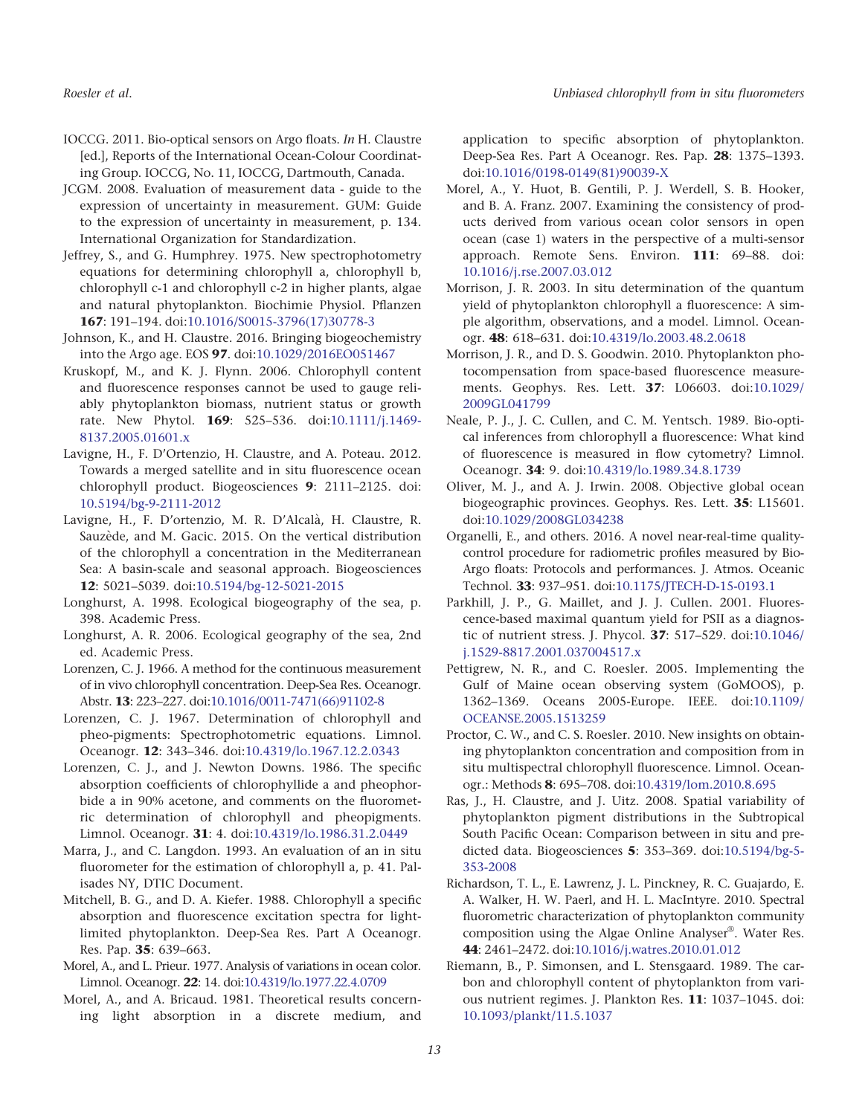- IOCCG. 2011. Bio-optical sensors on Argo floats. In H. Claustre [ed.], Reports of the International Ocean-Colour Coordinating Group. IOCCG, No. 11, IOCCG, Dartmouth, Canada.
- JCGM. 2008. Evaluation of measurement data guide to the expression of uncertainty in measurement. GUM: Guide to the expression of uncertainty in measurement, p. 134. International Organization for Standardization.
- Jeffrey, S., and G. Humphrey. 1975. New spectrophotometry equations for determining chlorophyll a, chlorophyll b, chlorophyll c-1 and chlorophyll c-2 in higher plants, algae and natural phytoplankton. Biochimie Physiol. Pflanzen 167: 191–194. doi[:10.1016/S0015-3796\(17\)30778-3](http://dx.doi.org/10.1016/S0015-3796(17)30778-3)
- Johnson, K., and H. Claustre. 2016. Bringing biogeochemistry into the Argo age. EOS 97. doi[:10.1029/2016EO051467](http://dx.doi.org/10.1029/2016EO051467)
- Kruskopf, M., and K. J. Flynn. 2006. Chlorophyll content and fluorescence responses cannot be used to gauge reliably phytoplankton biomass, nutrient status or growth rate. New Phytol. 169: 525–536. doi:[10.1111/j.1469-](http://dx.doi.org/10.1111/j.1469-8137.2005.01601.x) [8137.2005.01601.x](http://dx.doi.org/10.1111/j.1469-8137.2005.01601.x)
- Lavigne, H., F. D'Ortenzio, H. Claustre, and A. Poteau. 2012. Towards a merged satellite and in situ fluorescence ocean chlorophyll product. Biogeosciences 9: 2111–2125. doi: [10.5194/bg-9-2111-2012](http://dx.doi.org/10.5194/bg-9-2111-2012)
- Lavigne, H., F. D'ortenzio, M. R. D'Alcala, H. Claustre, R. Sauzède, and M. Gacic. 2015. On the vertical distribution of the chlorophyll a concentration in the Mediterranean Sea: A basin-scale and seasonal approach. Biogeosciences 12: 5021–5039. doi[:10.5194/bg-12-5021-2015](http://dx.doi.org/10.5194/bg-12-5021-2015)
- Longhurst, A. 1998. Ecological biogeography of the sea, p. 398. Academic Press.
- Longhurst, A. R. 2006. Ecological geography of the sea, 2nd ed. Academic Press.
- Lorenzen, C. J. 1966. A method for the continuous measurement of in vivo chlorophyll concentration. Deep-Sea Res. Oceanogr. Abstr. 13: 223–227. doi[:10.1016/0011-7471\(66\)91102-8](http://dx.doi.org/10.1016/0011-7471(66)91102-8)
- Lorenzen, C. J. 1967. Determination of chlorophyll and pheo-pigments: Spectrophotometric equations. Limnol. Oceanogr. 12: 343–346. doi[:10.4319/lo.1967.12.2.0343](http://dx.doi.org/10.4319/lo.1967.12.2.0343)
- Lorenzen, C. J., and J. Newton Downs. 1986. The specific absorption coefficients of chlorophyllide a and pheophorbide a in 90% acetone, and comments on the fluorometric determination of chlorophyll and pheopigments. Limnol. Oceanogr. 31: 4. doi:[10.4319/lo.1986.31.2.0449](http://dx.doi.org/10.4319/lo.1986.31.2.0449)
- Marra, J., and C. Langdon. 1993. An evaluation of an in situ fluorometer for the estimation of chlorophyll a, p. 41. Palisades NY, DTIC Document.
- Mitchell, B. G., and D. A. Kiefer. 1988. Chlorophyll a specific absorption and fluorescence excitation spectra for lightlimited phytoplankton. Deep-Sea Res. Part A Oceanogr. Res. Pap. 35: 639–663.
- Morel, A., and L. Prieur. 1977. Analysis of variations in ocean color. Limnol. Oceanogr. 22: 14. doi[:10.4319/lo.1977.22.4.0709](http://dx.doi.org/10.4319/lo.1977.22.4.0709)
- Morel, A., and A. Bricaud. 1981. Theoretical results concerning light absorption in a discrete medium, and

application to specific absorption of phytoplankton. Deep-Sea Res. Part A Oceanogr. Res. Pap. 28: 1375–1393. doi[:10.1016/0198-0149\(81\)90039-X](http://dx.doi.org/10.1016/0198-0149(81)90039-X)

- Morel, A., Y. Huot, B. Gentili, P. J. Werdell, S. B. Hooker, and B. A. Franz. 2007. Examining the consistency of products derived from various ocean color sensors in open ocean (case 1) waters in the perspective of a multi-sensor approach. Remote Sens. Environ. 111: 69–88. doi: [10.1016/j.rse.2007.03.012](http://dx.doi.org/10.1016/j.rse.2007.03.012)
- Morrison, J. R. 2003. In situ determination of the quantum yield of phytoplankton chlorophyll a fluorescence: A simple algorithm, observations, and a model. Limnol. Oceanogr. 48: 618–631. doi[:10.4319/lo.2003.48.2.0618](http://dx.doi.org/10.4319/lo.2003.48.2.0618)
- Morrison, J. R., and D. S. Goodwin. 2010. Phytoplankton photocompensation from space-based fluorescence measurements. Geophys. Res. Lett. 37: L06603. doi[:10.1029/](http://dx.doi.org/10.1029/2009GL041799) [2009GL041799](http://dx.doi.org/10.1029/2009GL041799)
- Neale, P. J., J. C. Cullen, and C. M. Yentsch. 1989. Bio-optical inferences from chlorophyll a fluorescence: What kind of fluorescence is measured in flow cytometry? Limnol. Oceanogr. 34: 9. doi:[10.4319/lo.1989.34.8.1739](http://dx.doi.org/10.4319/lo.1989.34.8.1739)
- Oliver, M. J., and A. J. Irwin. 2008. Objective global ocean biogeographic provinces. Geophys. Res. Lett. 35: L15601. doi[:10.1029/2008GL034238](http://dx.doi.org/10.1029/2008GL034238)
- Organelli, E., and others. 2016. A novel near-real-time qualitycontrol procedure for radiometric profiles measured by Bio-Argo floats: Protocols and performances. J. Atmos. Oceanic Technol. 33: 937–951. doi[:10.1175/JTECH-D-15-0193.1](http://dx.doi.org/10.1175/JTECH-D-15-0193.1)
- Parkhill, J. P., G. Maillet, and J. J. Cullen. 2001. Fluorescence-based maximal quantum yield for PSII as a diagnostic of nutrient stress. J. Phycol. 37: 517–529. doi:[10.1046/](http://dx.doi.org/10.1046/j.1529-8817.2001.037004517.x) [j.1529-8817.2001.037004517.x](http://dx.doi.org/10.1046/j.1529-8817.2001.037004517.x)
- Pettigrew, N. R., and C. Roesler. 2005. Implementing the Gulf of Maine ocean observing system (GoMOOS), p. 1362–1369. Oceans 2005-Europe. IEEE. doi[:10.1109/](http://dx.doi.org/10.1109/OCEANSE.2005.1513259) [OCEANSE.2005.1513259](http://dx.doi.org/10.1109/OCEANSE.2005.1513259)
- Proctor, C. W., and C. S. Roesler. 2010. New insights on obtaining phytoplankton concentration and composition from in situ multispectral chlorophyll fluorescence. Limnol. Oceanogr.: Methods 8: 695–708. doi:[10.4319/lom.2010.8.695](http://dx.doi.org/10.4319/lom.2010.8.695)
- Ras, J., H. Claustre, and J. Uitz. 2008. Spatial variability of phytoplankton pigment distributions in the Subtropical South Pacific Ocean: Comparison between in situ and predicted data. Biogeosciences 5: 353–369. doi:[10.5194/bg-5-](http://dx.doi.org/10.5194/bg-5-353-2008) [353-2008](http://dx.doi.org/10.5194/bg-5-353-2008)
- Richardson, T. L., E. Lawrenz, J. L. Pinckney, R. C. Guajardo, E. A. Walker, H. W. Paerl, and H. L. MacIntyre. 2010. Spectral fluorometric characterization of phytoplankton community composition using the Algae Online Analyser $^{\circledR}$ . Water Res. 44: 2461–2472. doi[:10.1016/j.watres.2010.01.012](http://dx.doi.org/10.1016/j.watres.2010.01.012)
- Riemann, B., P. Simonsen, and L. Stensgaard. 1989. The carbon and chlorophyll content of phytoplankton from various nutrient regimes. J. Plankton Res. 11: 1037–1045. doi: [10.1093/plankt/11.5.1037](http://dx.doi.org/10.1093/plankt/11.5.1037)